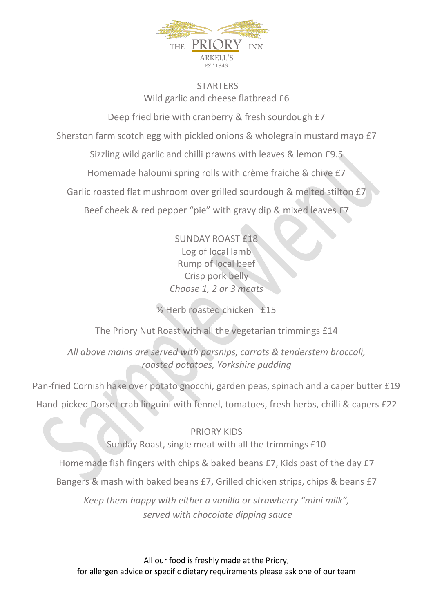

## **STARTERS** Wild garlic and cheese flatbread £6

Deep fried brie with cranberry & fresh sourdough £7

Sherston farm scotch egg with pickled onions & wholegrain mustard mayo £7

Sizzling wild garlic and chilli prawns with leaves & lemon £9.5

Homemade haloumi spring rolls with crème fraiche & chive £7

Garlic roasted flat mushroom over grilled sourdough & melted stilton £7

Beef cheek & red pepper "pie" with gravy dip & mixed leaves £7

SUNDAY ROAST £18 Log of local lamb Rump of local beef Crisp pork belly *Choose 1, 2 or 3 meats*

½ Herb roasted chicken £15

The Priory Nut Roast with all the vegetarian trimmings £14

*All above mains are served with parsnips, carrots & tenderstem broccoli, roasted potatoes, Yorkshire pudding*

Pan-fried Cornish hake over potato gnocchi, garden peas, spinach and a caper butter £19 Hand-picked Dorset crab linguini with fennel, tomatoes, fresh herbs, chilli & capers £22

PRIORY KIDS Sunday Roast, single meat with all the trimmings £10 Homemade fish fingers with chips & baked beans £7, Kids past of the day £7 Bangers & mash with baked beans £7, Grilled chicken strips, chips & beans £7 *Keep them happy with either a vanilla or strawberry "mini milk", served with chocolate dipping sauce*

All our food is freshly made at the Priory, for allergen advice or specific dietary requirements please ask one of our team